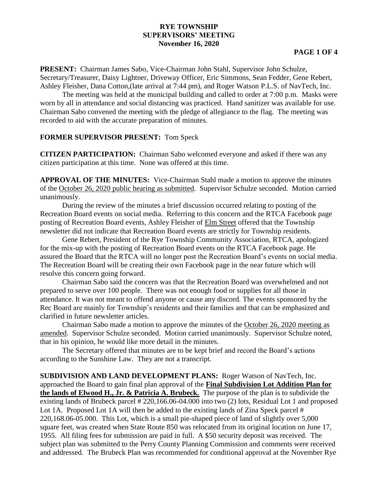## **RYE TOWNSHIP SUPERVISORS' MEETING November 16, 2020**

**PRESENT:** Chairman James Sabo, Vice-Chairman John Stahl, Supervisor John Schulze, Secretary/Treasurer, Daisy Lightner, Driveway Officer, Eric Simmons, Sean Fedder, Gene Rebert, Ashley Fleisher, Dana Cotton,(late arrival at 7:44 pm), and Roger Watson P.L.S. of NavTech, Inc.

The meeting was held at the municipal building and called to order at 7:00 p.m. Masks were worn by all in attendance and social distancing was practiced. Hand sanitizer was available for use. Chairman Sabo convened the meeting with the pledge of allegiance to the flag. The meeting was recorded to aid with the accurate preparation of minutes.

## **FORMER SUPERVISOR PRESENT:** Tom Speck

**CITIZEN PARTICIPATION:** Chairman Sabo welcomed everyone and asked if there was any citizen participation at this time. None was offered at this time.

**APPROVAL OF THE MINUTES:** Vice-Chairman Stahl made a motion to approve the minutes of the October 26, 2020 public hearing as submitted. Supervisor Schulze seconded. Motion carried unanimously.

During the review of the minutes a brief discussion occurred relating to posting of the Recreation Board events on social media. Referring to this concern and the RTCA Facebook page posting of Recreation Board events, Ashley Fleisher of Elm Street offered that the Township newsletter did not indicate that Recreation Board events are strictly for Township residents.

Gene Rebert, President of the Rye Township Community Association, RTCA, apologized for the mix-up with the posting of Recreation Board events on the RTCA Facebook page. He assured the Board that the RTCA will no longer post the Recreation Board's events on social media. The Recreation Board will be creating their own Facebook page in the near future which will resolve this concern going forward.

Chairman Sabo said the concern was that the Recreation Board was overwhelmed and not prepared to serve over 100 people. There was not enough food or supplies for all those in attendance. It was not meant to offend anyone or cause any discord. The events sponsored by the Rec Board are mainly for Township's residents and their families and that can be emphasized and clarified in future newsletter articles.

Chairman Sabo made a motion to approve the minutes of the October 26, 2020 meeting as amended. Supervisor Schulze seconded. Motion carried unanimously. Supervisor Schulze noted, that in his opinion, he would like more detail in the minutes.

The Secretary offered that minutes are to be kept brief and record the Board's actions according to the Sunshine Law. They are not a transcript.

**SUBDIVISION AND LAND DEVELOPMENT PLANS:** Roger Watson of NavTech, Inc. approached the Board to gain final plan approval of the **Final Subdivision Lot Addition Plan for the lands of Elwood H., Jr. & Patricia A. Brubeck.** The purpose of the plan is to subdivide the existing lands of Brubeck parcel # 220,166.06-04.000 into two (2) lots, Residual Lot 1 and proposed Lot 1A. Proposed Lot 1A will then be added to the existing lands of Zina Speck parcel # 220,168.06-05.000. This Lot, which is a small pie-shaped piece of land of slightly over 5,000 square feet, was created when State Route 850 was relocated from its original location on June 17, 1955. All filing fees for submission are paid in full. A \$50 security deposit was received. The subject plan was submitted to the Perry County Planning Commission and comments were received and addressed. The Brubeck Plan was recommended for conditional approval at the November Rye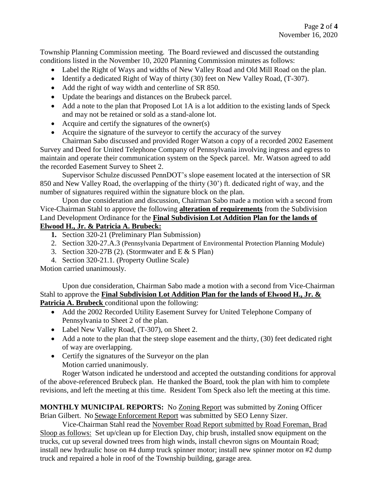Township Planning Commission meeting. The Board reviewed and discussed the outstanding conditions listed in the November 10, 2020 Planning Commission minutes as follows:

- Label the Right of Ways and widths of New Valley Road and Old Mill Road on the plan.
- Identify a dedicated Right of Way of thirty (30) feet on New Valley Road, (T-307).
- Add the right of way width and centerline of SR 850.
- Update the bearings and distances on the Brubeck parcel.
- Add a note to the plan that Proposed Lot 1A is a lot addition to the existing lands of Speck and may not be retained or sold as a stand-alone lot.
- Acquire and certify the signatures of the owner(s)
- Acquire the signature of the surveyor to certify the accuracy of the survey

Chairman Sabo discussed and provided Roger Watson a copy of a recorded 2002 Easement Survey and Deed for United Telephone Company of Pennsylvania involving ingress and egress to maintain and operate their communication system on the Speck parcel. Mr. Watson agreed to add the recorded Easement Survey to Sheet 2.

Supervisor Schulze discussed PennDOT's slope easement located at the intersection of SR 850 and New Valley Road, the overlapping of the thirty (30') ft. dedicated right of way, and the number of signatures required within the signature block on the plan.

Upon due consideration and discussion, Chairman Sabo made a motion with a second from Vice-Chairman Stahl to approve the following **alteration of requirements** from the Subdivision Land Development Ordinance for the **Final Subdivision Lot Addition Plan for the lands of Elwood H., Jr. & Patricia A. Brubeck:**

- **1.** Section 320-21 (Preliminary Plan Submission)
- 2. Section 320-27.A.3 (Pennsylvania Department of Environmental Protection Planning Module)
- 3. Section 320-27B (2). (Stormwater and  $E \& S$  Plan)
- 4. Section 320-21.1. (Property Outline Scale)

Motion carried unanimously.

Upon due consideration, Chairman Sabo made a motion with a second from Vice-Chairman Stahl to approve the **Final Subdivision Lot Addition Plan for the lands of Elwood H., Jr. & Patricia A. Brubeck** conditional upon the following:

- Add the 2002 Recorded Utility Easement Survey for United Telephone Company of Pennsylvania to Sheet 2 of the plan.
- Label New Valley Road, (T-307), on Sheet 2.
- Add a note to the plan that the steep slope easement and the thirty, (30) feet dedicated right of way are overlapping.
- Certify the signatures of the Surveyor on the plan Motion carried unanimously.

Roger Watson indicated he understood and accepted the outstanding conditions for approval of the above-referenced Brubeck plan. He thanked the Board, took the plan with him to complete revisions, and left the meeting at this time. Resident Tom Speck also left the meeting at this time.

**MONTHLY MUNICIPAL REPORTS:** No Zoning Report was submitted by Zoning Officer Brian Gilbert. No Sewage Enforcement Report was submitted by SEO Lenny Sizer.

Vice-Chairman Stahl read the November Road Report submitted by Road Foreman, Brad Sloop as follows: Set up/clean up for Election Day, chip brush, installed snow equipment on the trucks, cut up several downed trees from high winds, install chevron signs on Mountain Road; install new hydraulic hose on #4 dump truck spinner motor; install new spinner motor on #2 dump truck and repaired a hole in roof of the Township building, garage area.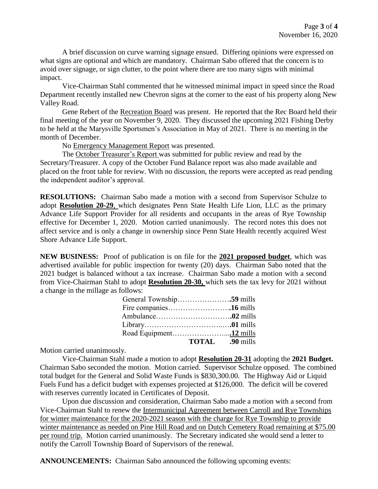A brief discussion on curve warning signage ensued. Differing opinions were expressed on what signs are optional and which are mandatory. Chairman Sabo offered that the concern is to avoid over signage, or sign clutter, to the point where there are too many signs with minimal impact.

Vice-Chairman Stahl commented that he witnessed minimal impact in speed since the Road Department recently installed new Chevron signs at the corner to the east of his property along New Valley Road.

Gene Rebert of the Recreation Board was present. He reported that the Rec Board held their final meeting of the year on November 9, 2020. They discussed the upcoming 2021 Fishing Derby to be held at the Marysville Sportsmen's Association in May of 2021. There is no meeting in the month of December.

No Emergency Management Report was presented.

The October Treasurer's Report was submitted for public review and read by the Secretary/Treasurer. A copy of the October Fund Balance report was also made available and placed on the front table for review. With no discussion, the reports were accepted as read pending the independent auditor's approval.

**RESOLUTIONS:** Chairman Sabo made a motion with a second from Supervisor Schulze to adopt **Resolution 20-29**, which designates Penn State Health Life Lion, LLC as the primary Advance Life Support Provider for all residents and occupants in the areas of Rye Township effective for December 1, 2020. Motion carried unanimously. The record notes this does not affect service and is only a change in ownership since Penn State Health recently acquired West Shore Advance Life Support.

**NEW BUSINESS:** Proof of publication is on file for the **2021 proposed budget**, which was advertised available for public inspection for twenty (20) days. Chairman Sabo noted that the 2021 budget is balanced without a tax increase. Chairman Sabo made a motion with a second from Vice-Chairman Stahl to adopt **Resolution 20-30,** which sets the tax levy for 2021 without a change in the millage as follows:

| <b>TOTAL</b> .90 mills |  |
|------------------------|--|

Motion carried unanimously.

Vice-Chairman Stahl made a motion to adopt **Resolution 20-31** adopting the **2021 Budget.** Chairman Sabo seconded the motion. Motion carried. Supervisor Schulze opposed. The combined total budget for the General and Solid Waste Funds is \$830,300.00. The Highway Aid or Liquid Fuels Fund has a deficit budget with expenses projected at \$126,000. The deficit will be covered with reserves currently located in Certificates of Deposit.

Upon due discussion and consideration, Chairman Sabo made a motion with a second from Vice-Chairman Stahl to renew the Intermunicipal Agreement between Carroll and Rye Townships for winter maintenance for the 2020-2021 season with the charge for Rye Township to provide winter maintenance as needed on Pine Hill Road and on Dutch Cemetery Road remaining at \$75.00 per round trip. Motion carried unanimously. The Secretary indicated she would send a letter to notify the Carroll Township Board of Supervisors of the renewal.

**ANNOUNCEMENTS:** Chairman Sabo announced the following upcoming events: